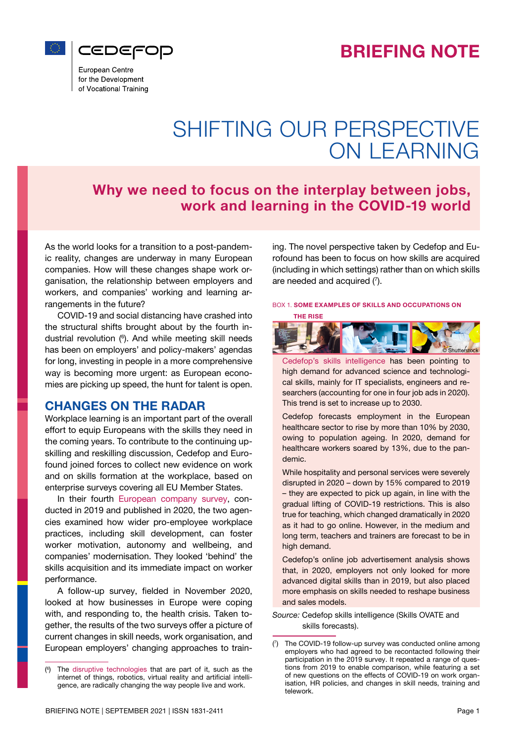



European Centre for the Development of Vocational Training

# SHIFTING OUR PERSPECTIVE ON LEARNING

## Why we need to focus on the interplay between jobs, work and learning in the COVID-19 world

As the world looks for a transition to a post-pandemic reality, changes are underway in many European companies. How will these changes shape work organisation, the relationship between employers and workers, and companies' working and learning arrangements in the future?

COVID-19 and social distancing have crashed into the structural shifts brought about by the fourth industrial revolution (6 ). And while meeting skill needs has been on employers' and policy-makers' agendas for long, investing in people in a more comprehensive way is becoming more urgent: as European economies are picking up speed, the hunt for talent is open.

## CHANGES ON THE RADAR

Workplace learning is an important part of the overall effort to equip Europeans with the skills they need in the coming years. To contribute to the continuing upskilling and reskilling discussion, Cedefop and Eurofound joined forces to collect new evidence on work and on skills formation at the workplace, based on enterprise surveys covering all EU Member States.

In their fourth [European company survey,](https://www.cedefop.europa.eu/en/publications-and-resources/publications/2228) conducted in 2019 and published in 2020, the two agencies examined how wider pro-employee workplace practices, including skill development, can foster worker motivation, autonomy and wellbeing, and companies' modernisation. They looked 'behind' the skills acquisition and its immediate impact on worker performance.

A follow-up survey, fielded in November 2020, looked at how businesses in Europe were coping with, and responding to, the health crisis. Taken together, the results of the two surveys offer a picture of current changes in skill needs, work organisation, and European employers' changing approaches to training. The novel perspective taken by Cedefop and Eurofound has been to focus on how skills are acquired (including in which settings) rather than on which skills are needed and acquired  $(7)$ .

#### BOX 1. SOME EXAMPLES OF SKILLS AND OCCUPATIONS ON



[Cedefop's skills intelligence](https://www.cedefop.europa.eu/en/publications-and-resources/publications/9157) has been pointing to high demand for advanced science and technological skills, mainly for IT specialists, engineers and researchers (accounting for one in four job ads in 2020). This trend is set to increase up to 2030.

Cedefop forecasts employment in the European healthcare sector to rise by more than 10% by 2030, owing to population ageing. In 2020, demand for healthcare workers soared by 13%, due to the pandemic.

While hospitality and personal services were severely disrupted in 2020 – down by 15% compared to 2019 – they are expected to pick up again, in line with the gradual lifting of COVID-19 restrictions. This is also true for teaching, which changed dramatically in 2020 as it had to go online. However, in the medium and long term, teachers and trainers are forecast to be in high demand.

Cedefop's online job advertisement analysis shows that, in 2020, employers not only looked for more advanced digital skills than in 2019, but also placed more emphasis on skills needed to reshape business and sales models.

*Source:* Cedefop skills intelligence (Skills OVATE and skills forecasts).

© Shutterstock

<sup>(</sup> 6 The [disruptive technologies](https://whatis.techtarget.com/definition/disruptive-technology) that are part of it, such as the internet of things, robotics, virtual reality and artificial intelligence, are radically changing the way people live and work.

<sup>(</sup> 7 ) The COVID-19 follow-up survey was conducted online among employers who had agreed to be recontacted following their participation in the 2019 survey. It repeated a range of questions from 2019 to enable comparison, while featuring a set of new questions on the effects of COVID-19 on work organisation, HR policies, and changes in skill needs, training and telework.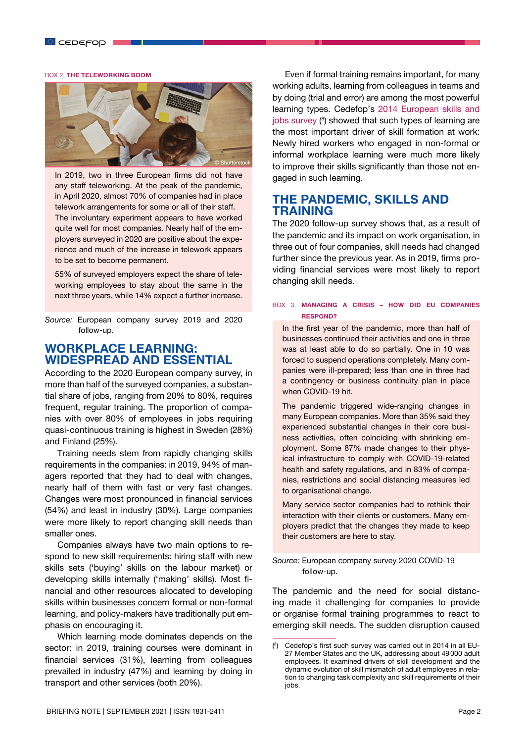#### BOX 2. THE TELEWORKING BOOM



In 2019, two in three European firms did not have any staff teleworking. At the peak of the pandemic, in April 2020, almost 70% of companies had in place telework arrangements for some or all of their staff. The involuntary experiment appears to have worked quite well for most companies. Nearly half of the employers surveyed in 2020 are positive about the experience and much of the increase in telework appears to be set to become permanent.

55% of surveyed employers expect the share of teleworking employees to stay about the same in the next three years, while 14% expect a further increase.

*Source:* European company survey 2019 and 2020 follow-up.

## WORKPLACE LEARNING: WIDESPREAD AND ESSENTIAL

According to the 2020 European company survey, in more than half of the surveyed companies, a substantial share of jobs, ranging from 20% to 80%, requires frequent, regular training. The proportion of companies with over 80% of employees in jobs requiring quasi-continuous training is highest in Sweden (28%) and Finland (25%).

Training needs stem from rapidly changing skills requirements in the companies: in 2019, 94% of managers reported that they had to deal with changes, nearly half of them with fast or very fast changes. Changes were most pronounced in financial services (54%) and least in industry (30%). Large companies were more likely to report changing skill needs than smaller ones.

Companies always have two main options to respond to new skill requirements: hiring staff with new skills sets ('buying' skills on the labour market) or developing skills internally ('making' skills). Most financial and other resources allocated to developing skills within businesses concern formal or non-formal learning, and policy-makers have traditionally put emphasis on encouraging it.

Which learning mode dominates depends on the sector: in 2019, training courses were dominant in financial services (31%), learning from colleagues prevailed in industry (47%) and learning by doing in transport and other services (both 20%).

Even if formal training remains important, for many working adults, learning from colleagues in teams and by doing (trial and error) are among the most powerful learning types. Cedefop's [2014 European skills and](https://www.cedefop.europa.eu/en/events-and-projects/projects/european-skills-and-jobs-survey-esjs/first-european-skills-and-jobs-survey-esjs) [jobs survey](https://www.cedefop.europa.eu/en/events-and-projects/projects/european-skills-and-jobs-survey-esjs/first-european-skills-and-jobs-survey-esjs) (8 ) showed that such types of learning are the most important driver of skill formation at work: Newly hired workers who engaged in non-formal or informal workplace learning were much more likely to improve their skills significantly than those not engaged in such learning.

## THE PANDEMIC, SKILLS AND TRAINING

The 2020 follow-up survey shows that, as a result of the pandemic and its impact on work organisation, in three out of four companies, skill needs had changed further since the previous year. As in 2019, firms providing financial services were most likely to report changing skill needs.

#### BOX 3. MANAGING A CRISIS – HOW DID EU COMPANIES RESPOND?

In the first year of the pandemic, more than half of businesses continued their activities and one in three was at least able to do so partially. One in 10 was forced to suspend operations completely. Many companies were ill-prepared; less than one in three had a contingency or business continuity plan in place when COVID-19 hit.

The pandemic triggered wide-ranging changes in many European companies. More than 35% said they experienced substantial changes in their core business activities, often coinciding with shrinking employment. Some 87% made changes to their physical infrastructure to comply with COVID-19-related health and safety regulations, and in 83% of companies, restrictions and social distancing measures led to organisational change.

Many service sector companies had to rethink their interaction with their clients or customers. Many employers predict that the changes they made to keep their customers are here to stay.

*Source:* European company survey 2020 COVID-19 follow-up.

The pandemic and the need for social distancing made it challenging for companies to provide or organise formal training programmes to react to emerging skill needs. The sudden disruption caused

<sup>(</sup> 8 ) Cedefop's first such survey was carried out in 2014 in all EU-27 Member States and the UK, addressing about 49000 adult employees. It examined drivers of skill development and the dynamic evolution of skill mismatch of adult employees in relation to changing task complexity and skill requirements of their jobs.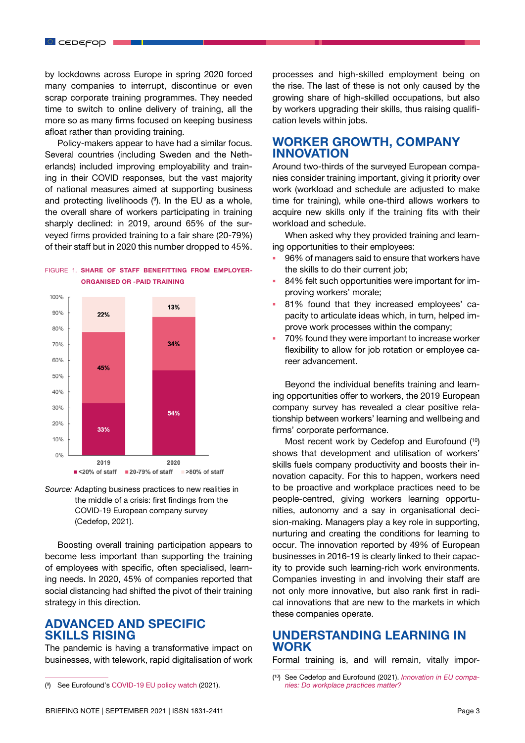by lockdowns across Europe in spring 2020 forced many companies to interrupt, discontinue or even scrap corporate training programmes. They needed time to switch to online delivery of training, all the more so as many firms focused on keeping business afloat rather than providing training.

Policy-makers appear to have had a similar focus. Several countries (including Sweden and the Netherlands) included improving employability and training in their COVID responses, but the vast majority of national measures aimed at supporting business and protecting livelihoods (9 ). In the EU as a whole, the overall share of workers participating in training sharply declined: in 2019, around 65% of the surveyed firms provided training to a fair share (20-79%) of their staff but in 2020 this number dropped to 45%.

#### 100%  $13%$ 90%  $22%$ 80% 34% 70% 60% 45% 50% 40% 30% 54% 20% 33%  $10%$  $0%$

#### FIGURE 1. SHARE OF STAFF BENEFITTING FROM EMPLOYER-ORGANISED OR -PAID TRAINING

*Source:* Adapting business practices to new realities in the middle of a crisis: first findings from the COVID-19 European company survey (Cedefop, 2021).

2020

>80% of staff

 $2019$ 

 $\blacksquare$  <20% of staff  $\blacksquare$  20-79% of staff

Boosting overall training participation appears to become less important than supporting the training of employees with specific, often specialised, learning needs. In 2020, 45% of companies reported that social distancing had shifted the pivot of their training strategy in this direction.

## ADVANCED AND SPECIFIC SKILLS RISING

The pandemic is having a transformative impact on businesses, with telework, rapid digitalisation of work

processes and high-skilled employment being on the rise. The last of these is not only caused by the growing share of high-skilled occupations, but also by workers upgrading their skills, thus raising qualification levels within jobs.

## WORKER GROWTH, COMPANY INNOVATION

Around two-thirds of the surveyed European companies consider training important, giving it priority over work (workload and schedule are adjusted to make time for training), while one-third allows workers to acquire new skills only if the training fits with their workload and schedule.

When asked why they provided training and learning opportunities to their employees:

- 96% of managers said to ensure that workers have the skills to do their current job;
- 84% felt such opportunities were important for improving workers' morale;
- 81% found that they increased employees' capacity to articulate ideas which, in turn, helped improve work processes within the company;
- 70% found they were important to increase worker flexibility to allow for job rotation or employee career advancement.

Beyond the individual benefits training and learning opportunities offer to workers, the 2019 European company survey has revealed a clear positive relationship between workers' learning and wellbeing and firms' corporate performance.

Most recent work by Cedefop and Eurofound (<sup>10</sup>) shows that development and utilisation of workers' skills fuels company productivity and boosts their innovation capacity. For this to happen, workers need to be proactive and workplace practices need to be people-centred, giving workers learning opportunities, autonomy and a say in organisational decision-making. Managers play a key role in supporting, nurturing and creating the conditions for learning to occur. The innovation reported by 49% of European businesses in 2016-19 is clearly linked to their capacity to provide such learning-rich work environments. Companies investing in and involving their staff are not only more innovative, but also rank first in radical innovations that are new to the markets in which these companies operate.

### UNDERSTANDING LEARNING IN WORK

Formal training is, and will remain, vitally impor-

<sup>(</sup> 9 See Eurofound's [COVID-19 EU policy watch](https://static.eurofound.europa.eu/covid19db/index.html) (2021).

<sup>(</sup> 10) See Cedefop and Eurofound (2021). *[Innovation in EU compa](https://www.eurofound.europa.eu/publications/policy-brief/2021/innovation-in-eu-companies-do-workplace-practices-matter)[nies: Do workplace practices matter?](https://www.eurofound.europa.eu/publications/policy-brief/2021/innovation-in-eu-companies-do-workplace-practices-matter)*